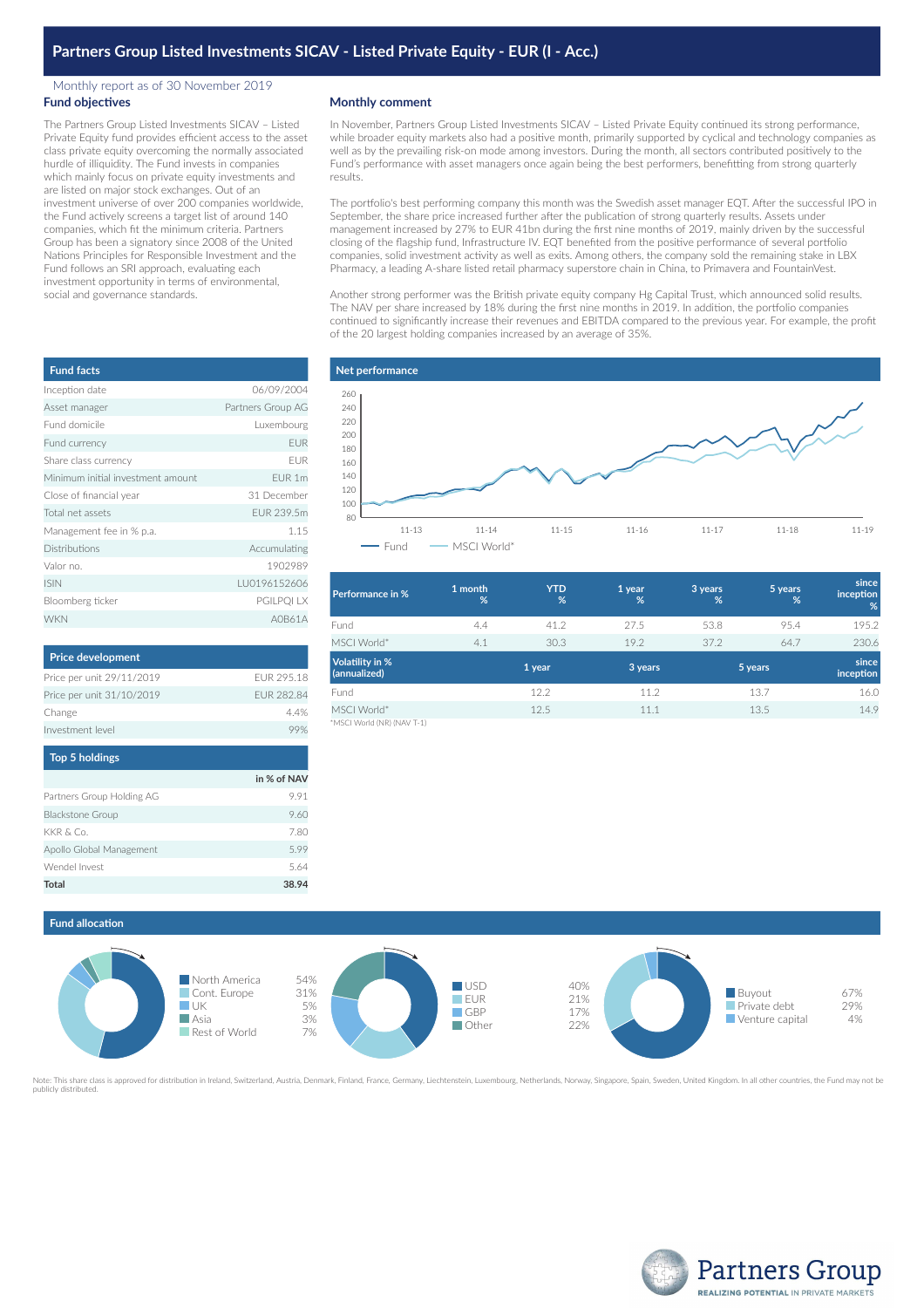### Monthly report as of 30 November 2019 **Fund objectives**

The Partners Group Listed Investments SICAV – Listed Private Equity fund provides efficient access to the asset class private equity overcoming the normally associated hurdle of illiquidity. The Fund invests in companies which mainly focus on private equity investments and are listed on major stock exchanges. Out of an investment universe of over 200 companies worldwide, the Fund actively screens a target list of around 140 companies, which fit the minimum criteria. Partners Group has been a signatory since 2008 of the United Nations Principles for Responsible Investment and the Fund follows an SRI approach, evaluating each investment opportunity in terms of environmental, social and governance standards.

| <b>Fund facts</b>                 |                   |
|-----------------------------------|-------------------|
| Inception date                    | 06/09/2004        |
| Asset manager                     | Partners Group AG |
| Fund domicile                     | Luxembourg        |
| Fund currency                     | <b>EUR</b>        |
| Share class currency              | <b>FUR</b>        |
| Minimum initial investment amount | EUR 1m            |
| Close of financial year           | 31 December       |
| Total net assets                  | FUR 239.5m        |
| Management fee in % p.a.          | 1.15              |
| <b>Distributions</b>              | Accumulating      |
| Valor no.                         | 1902989           |
| <b>ISIN</b>                       | LU0196152606      |
| Bloomberg ticker                  | PGILPQI LX        |
| <b>WKN</b>                        | A0B61A            |

| <b>Price development</b>  |            |
|---------------------------|------------|
| Price per unit 29/11/2019 | FUR 295 18 |
| Price per unit 31/10/2019 | FUR 282.84 |
| Change                    | 44%        |
| Investment level          |            |

| Top 5 holdings            |             |
|---------------------------|-------------|
|                           | in % of NAV |
| Partners Group Holding AG | 991         |
| <b>Blackstone Group</b>   | 9.60        |
| KKR & Co.                 | 7.80        |
| Apollo Global Management  | 599         |
| Wendel Invest             | 5.64        |
| Total                     | 38.94       |

## **Monthly comment**

In November, Partners Group Listed Investments SICAV – Listed Private Equity continued its strong performance, while broader equity markets also had a positive month, primarily supported by cyclical and technology companies as well as by the prevailing risk-on mode among investors. During the month, all sectors contributed positively to the Fund's performance with asset managers once again being the best performers, benefitting from strong quarterly results.

The portfolio's best performing company this month was the Swedish asset manager EQT. After the successful IPO in September, the share price increased further after the publication of strong quarterly results. Assets under management increased by 27% to EUR 41bn during the first nine months of 2019, mainly driven by the successful closing of the flagship fund, Infrastructure IV. EQT benefited from the positive performance of several portfolio companies, solid investment activity as well as exits. Among others, the company sold the remaining stake in LBX Pharmacy, a leading A-share listed retail pharmacy superstore chain in China, to Primavera and FountainVest.

Another strong performer was the British private equity company Hg Capital Trust, which announced solid results. The NAV per share increased by 18% during the first nine months in 2019. In addition, the portfolio companies continued to significantly increase their revenues and EBITDA compared to the previous year. For example, the profit of the 20 largest holding companies increased by an average of 35%.

### **Net performance**



| <b>Performance in %</b>                   | 1 month<br>% | <b>YTD</b><br>% | 1 year<br>% | 3 years<br>% | 5 years<br>% | since<br>inception<br>% |
|-------------------------------------------|--------------|-----------------|-------------|--------------|--------------|-------------------------|
| Fund                                      | 4.4          | 41.2            | 27.5        | 53.8         | 95.4         | 195.2                   |
| MSCI World*                               | 4.1          | 30.3            | 19.2        | 37.2         | 64.7         | 230.6                   |
| <b>Volatility in %</b><br>(annualized)    |              | 1 year          | 3 years     | 5 years      |              | since<br>inception      |
| Fund                                      |              | 12.2            | 11.2        |              | 13.7         | 16.0                    |
| MSCI World*<br>"MSCI World (NR) (NAV T-1) |              | 12.5            | 11.1        |              | 13.5         | 14.9                    |

\*MSCI World (NR) (NAV T-1)





Note: This share class is approved for distribution in Ireland, Switzerland, Austria, Denmark, Finland, France, Germany, Liechtenstein, Luxembourg, Netherlands, Norway, Singapore, Spain, Sweden, United Kingdom. In all othe publicly distributed.